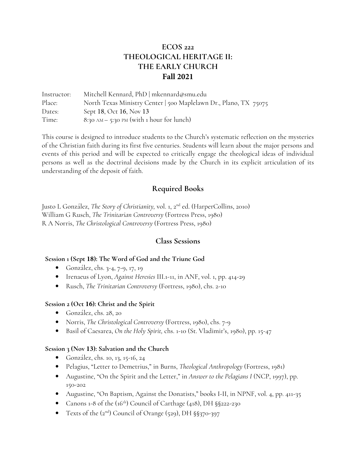# **ECOS 222 THEOLOGICAL HERITAGE II: THE EARLY CHURCH Fall 2021**

Instructor: Place: Dates: Time: Mitchell Kennard, PhD | mkennard@smu.edu North Texas Ministry Center | 500 Maplelawn Dr., Plano, TX 75075 Sept 18, Oct 16, Nov 13 8:30 AM – 5:30 PM (with 1 hour for lunch)

This course is designed to introduce students to the Church's systematic reflection on the mysteries of the Christian faith during its first five centuries. Students will learn about the major persons and events of this period and will be expected to critically engage the theological ideas of individual persons as well as the doctrinal decisions made by the Church in its explicit articulation of its understanding of the deposit of faith.

## **Required Books**

Justo L González, *The Story of Christianity,* vol. 1, 2nd ed. (HarperCollins, 2010) William G Rusch, *The Trinitarian Controversy* (Fortress Press, 1980) R A Norris, *The Christological Controversy* (Fortress Press, 1980)

### **Class Sessions**

#### **Session 1 (Sept 18): The Word of God and the Triune God**

- González, chs. 3-4, 7-9, 17, 19
- Irenaeus of Lyon, *Against Heresies* III.1-11, in ANF, vol. 1, pp. 414-29
- Rusch, *The Trinitarian Controversy* (Fortress, 1980), chs. 2-10

#### **Session 2 (Oct 16): Christ and the Spirit**

- González, chs. 28, 20
- Norris, *The Christological Controversy* (Fortress, 1980), chs. 7-9
- Basil of Caesarea, *On the Holy Spirit,* chs. 1-10 (St. Vladimir's, 1980), pp. 15-47

#### **Session 3 (Nov 13): Salvation and the Church**

- González, chs. 10, 13, 15-16, 24
- Pelagius, "Letter to Demetrius," in Burns, *Theological Anthropology* (Fortress, 1981)
- Augustine, "On the Spirit and the Letter," in *Answer to the Pelagians I* (NCP, 1997), pp. 150-202
- Augustine, "On Baptism, Against the Donatists," books I-II, in NPNF, vol. 4, pp. 411-35
- Canons 1-8 of the  $(16<sup>th</sup>)$  Council of Carthage  $(418)$ , DH  $\S$  $\S$ 222-230
- Texts of the  $(2<sup>nd</sup>)$  Council of Orange  $(529)$ , DH  $\S$ §370-397